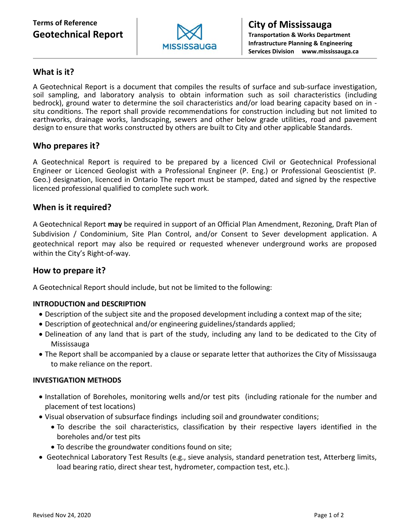# **Terms of Reference Geotechnical Report**



## **What is it?**

A Geotechnical Report is a document that compiles the results of surface and sub-surface investigation, soil sampling, and laboratory analysis to obtain information such as soil characteristics (including bedrock), ground water to determine the soil characteristics and/or load bearing capacity based on in situ conditions. The report shall provide recommendations for construction including but not limited to earthworks, drainage works, landscaping, sewers and other below grade utilities, road and pavement design to ensure that works constructed by others are built to City and other applicable Standards.

## **Who prepares it?**

A Geotechnical Report is required to be prepared by a licenced Civil or Geotechnical Professional Engineer or Licenced Geologist with a Professional Engineer (P. Eng.) or Professional Geoscientist (P. Geo.) designation, licenced in Ontario The report must be stamped, dated and signed by the respective licenced professional qualified to complete such work.

## **When is it required?**

A Geotechnical Report **may** be required in support of an Official Plan Amendment, Rezoning, Draft Plan of Subdivision / Condominium, Site Plan Control, and/or Consent to Sever development application. A geotechnical report may also be required or requested whenever underground works are proposed within the City's Right-of-way.

## **How to prepare it?**

A Geotechnical Report should include, but not be limited to the following:

## **INTRODUCTION and DESCRIPTION**

- Description of the subject site and the proposed development including a context map of the site;
- Description of geotechnical and/or engineering guidelines/standards applied;
- Delineation of any land that is part of the study, including any land to be dedicated to the City of Mississauga
- The Report shall be accompanied by a clause or separate letter that authorizes the City of Mississauga to make reliance on the report.

#### **INVESTIGATION METHODS**

- Installation of Boreholes, monitoring wells and/or test pits (including rationale for the number and placement of test locations)
- Visual observation of subsurface findings including soil and groundwater conditions;
	- To describe the soil characteristics, classification by their respective layers identified in the boreholes and/or test pits
	- To describe the groundwater conditions found on site;
- Geotechnical Laboratory Test Results (e.g., sieve analysis, standard penetration test, Atterberg limits, load bearing ratio, direct shear test, hydrometer, compaction test, etc.).